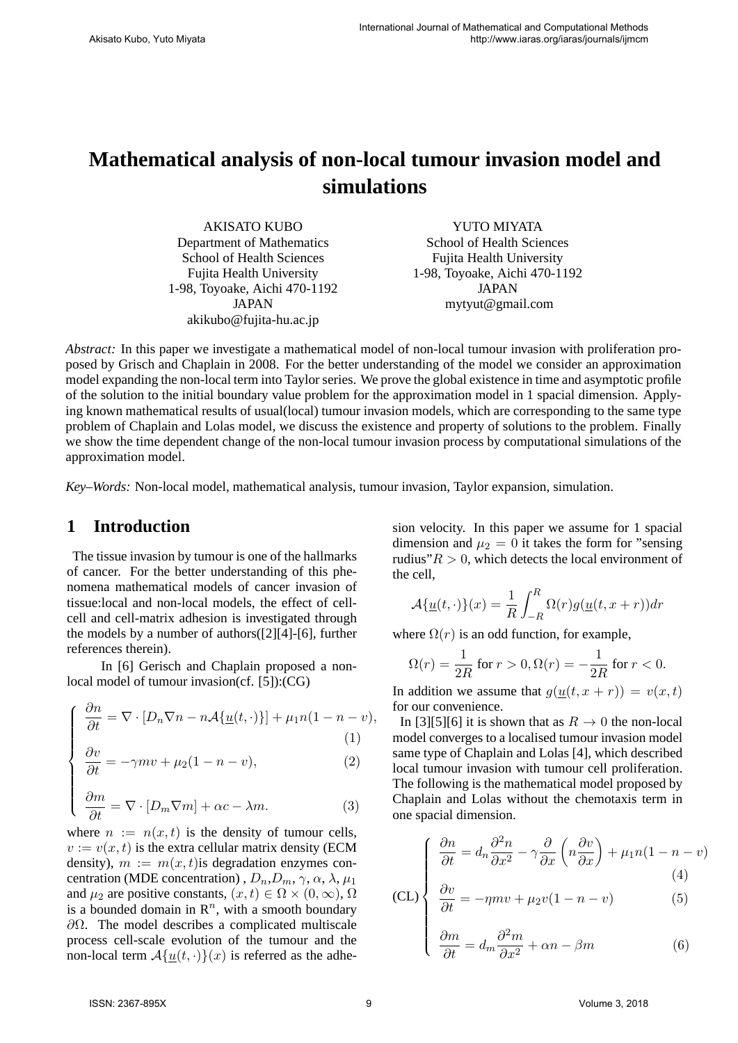# **Mathematical analysis of non-local tumour invasion model and simulations**

AKISATO KUBO Department of Mathematics School of Health Sciences Fujita Health University 1-98, Toyoake, Aichi 470-1192 JAPAN akikubo@fujita-hu.ac.jp

YUTO MIYATA School of Health Sciences Fujita Health University 1-98, Toyoake, Aichi 470-1192 JAPAN mytyut@gmail.com

*Abstract:* In this paper we investigate a mathematical model of non-local tumour invasion with proliferation proposed by Grisch and Chaplain in 2008. For the better understanding of the model we consider an approximation model expanding the non-local term into Taylor series. We prove the global existence in time and asymptotic profile of the solution to the initial boundary value problem for the approximation model in 1 spacial dimension. Applying known mathematical results of usual(local) tumour invasion models, which are corresponding to the same type problem of Chaplain and Lolas model, we discuss the existence and property of solutions to the problem. Finally we show the time dependent change of the non-local tumour invasion process by computational simulations of the approximation model.

*Key–Words:* Non-local model, mathematical analysis, tumour invasion, Taylor expansion, simulation.

# **1 Introduction**

 $\sqrt{ }$ 

 $\begin{array}{c} \hline \end{array}$ 

The tissue invasion by tumour is one of the hallmarks of cancer. For the better understanding of this phenomena mathematical models of cancer invasion of tissue:local and non-local models, the effect of cellcell and cell-matrix adhesion is investigated through the models by a number of authors([2][4]-[6], further references therein).

In [6] Gerisch and Chaplain proposed a nonlocal model of tumour invasion(cf. [5]):(CG)

$$
\frac{\partial n}{\partial t} = \nabla \cdot [D_n \nabla n - n \mathcal{A} \{ \underline{u}(t, \cdot) \}] + \mu_1 n (1 - n - v),
$$
\n(1)

$$
\frac{\partial v}{\partial t} = -\gamma mv + \mu_2 (1 - n - v),\tag{2}
$$

$$
\frac{\partial m}{\partial t} = \nabla \cdot [D_m \nabla m] + \alpha c - \lambda m. \tag{3}
$$

where  $n := n(x, t)$  is the density of tumour cells,  $v := v(x, t)$  is the extra cellular matrix density (ECM) density),  $m := m(x, t)$  is degradation enzymes concentration (MDE concentration),  $D_n, D_m, \gamma, \alpha, \lambda, \mu_1$ and  $\mu_2$  are positive constants,  $(x, t) \in \Omega \times (0, \infty)$ ,  $\Omega$ is a bounded domain in  $\mathbb{R}^n$ , with a smooth boundary *∂*Ω. The model describes a complicated multiscale process cell-scale evolution of the tumour and the non-local term  $\mathcal{A}\{\underline{u}(t,\cdot)\}(x)$  is referred as the adhesion velocity. In this paper we assume for 1 spacial dimension and  $\mu_2 = 0$  it takes the form for "sensing" rudius" $R > 0$ , which detects the local environment of the cell,

$$
\mathcal{A}\{\underline{u}(t,\cdot)\}(x) = \frac{1}{R} \int_{-R}^{R} \Omega(r)g(\underline{u}(t,x+r))dr
$$

where  $\Omega(r)$  is an odd function, for example,

$$
\Omega(r) = \frac{1}{2R}
$$
 for  $r > 0$ ,  $\Omega(r) = -\frac{1}{2R}$  for  $r < 0$ .

In addition we assume that  $g(u(t, x + r)) = v(x, t)$ for our convenience.

In [3][5][6] it is shown that as  $R \to 0$  the non-local model converges to a localised tumour invasion model same type of Chaplain and Lolas [4], which described local tumour invasion with tumour cell proliferation. The following is the mathematical model proposed by Chaplain and Lolas without the chemotaxis term in one spacial dimension.

$$
\frac{\partial n}{\partial t} = d_n \frac{\partial^2 n}{\partial x^2} - \gamma \frac{\partial}{\partial x} \left( n \frac{\partial v}{\partial x} \right) + \mu_1 n (1 - n - v) \tag{4}
$$

$$
\text{(CL)}\begin{cases}\n\frac{\partial v}{\partial t} = d_n \frac{\partial v}{\partial x^2} - \gamma \frac{\partial v}{\partial x} \left( n \frac{\partial v}{\partial x} \right) + \mu_1 n (1 - n - \mu_1) \\
\frac{\partial v}{\partial t} = -\eta m v + \mu_2 v (1 - n - v) \\
\frac{\partial m}{\partial t} = d_m \frac{\partial^2 m}{\partial x^2} + \alpha n - \beta m\n\end{cases} \tag{6}
$$

$$
\frac{\partial m}{\partial t} = d_m \frac{\partial^2 m}{\partial x^2} + \alpha n - \beta m \tag{6}
$$

 $\sqrt{ }$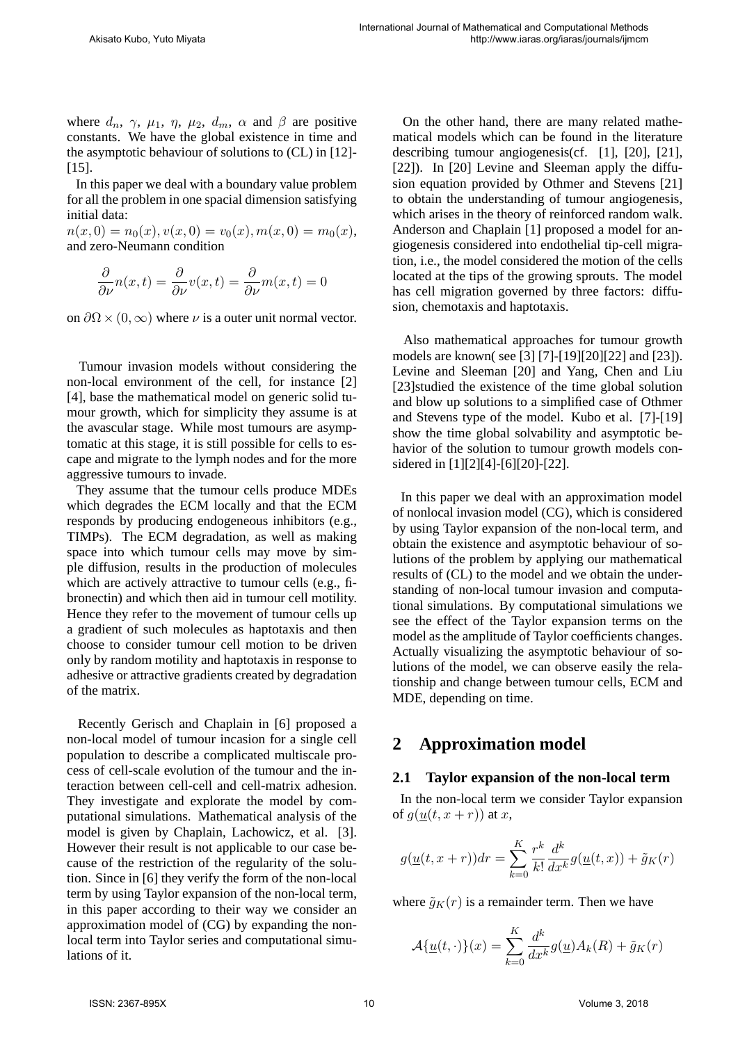where  $d_n$ ,  $\gamma$ ,  $\mu_1$ ,  $\eta$ ,  $\mu_2$ ,  $d_m$ ,  $\alpha$  and  $\beta$  are positive constants. We have the global existence in time and the asymptotic behaviour of solutions to (CL) in [12]- [15].

In this paper we deal with a boundary value problem for all the problem in one spacial dimension satisfying initial data:

 $n(x, 0) = n_0(x), v(x, 0) = v_0(x), m(x, 0) = m_0(x),$ and zero-Neumann condition

$$
\frac{\partial}{\partial \nu}n(x,t) = \frac{\partial}{\partial \nu}v(x,t) = \frac{\partial}{\partial \nu}m(x,t) = 0
$$

on  $\partial\Omega \times (0,\infty)$  where  $\nu$  is a outer unit normal vector.

Tumour invasion models without considering the non-local environment of the cell, for instance [2] [4], base the mathematical model on generic solid tumour growth, which for simplicity they assume is at the avascular stage. While most tumours are asymptomatic at this stage, it is still possible for cells to escape and migrate to the lymph nodes and for the more aggressive tumours to invade.

They assume that the tumour cells produce MDEs which degrades the ECM locally and that the ECM responds by producing endogeneous inhibitors (e.g., TIMPs). The ECM degradation, as well as making space into which tumour cells may move by simple diffusion, results in the production of molecules which are actively attractive to tumour cells (e.g., fibronectin) and which then aid in tumour cell motility. Hence they refer to the movement of tumour cells up a gradient of such molecules as haptotaxis and then choose to consider tumour cell motion to be driven only by random motility and haptotaxis in response to adhesive or attractive gradients created by degradation of the matrix.

Recently Gerisch and Chaplain in [6] proposed a non-local model of tumour incasion for a single cell population to describe a complicated multiscale process of cell-scale evolution of the tumour and the interaction between cell-cell and cell-matrix adhesion. They investigate and explorate the model by computational simulations. Mathematical analysis of the model is given by Chaplain, Lachowicz, et al. [3]. However their result is not applicable to our case because of the restriction of the regularity of the solution. Since in [6] they verify the form of the non-local term by using Taylor expansion of the non-local term, in this paper according to their way we consider an approximation model of (CG) by expanding the nonlocal term into Taylor series and computational simulations of it.

On the other hand, there are many related mathematical models which can be found in the literature describing tumour angiogenesis(cf. [1], [20], [21], [22]). In [20] Levine and Sleeman apply the diffusion equation provided by Othmer and Stevens [21] to obtain the understanding of tumour angiogenesis, which arises in the theory of reinforced random walk. Anderson and Chaplain [1] proposed a model for angiogenesis considered into endothelial tip-cell migration, i.e., the model considered the motion of the cells located at the tips of the growing sprouts. The model has cell migration governed by three factors: diffusion, chemotaxis and haptotaxis.

Also mathematical approaches for tumour growth models are known( see [3] [7]-[19][20][22] and [23]). Levine and Sleeman [20] and Yang, Chen and Liu [23]studied the existence of the time global solution and blow up solutions to a simplified case of Othmer and Stevens type of the model. Kubo et al. [7]-[19] show the time global solvability and asymptotic behavior of the solution to tumour growth models considered in [1][2][4]-[6][20]-[22].

In this paper we deal with an approximation model of nonlocal invasion model (CG), which is considered by using Taylor expansion of the non-local term, and obtain the existence and asymptotic behaviour of solutions of the problem by applying our mathematical results of (CL) to the model and we obtain the understanding of non-local tumour invasion and computational simulations. By computational simulations we see the effect of the Taylor expansion terms on the model as the amplitude of Taylor coefficients changes. Actually visualizing the asymptotic behaviour of solutions of the model, we can observe easily the relationship and change between tumour cells, ECM and MDE, depending on time.

# **2 Approximation model**

### **2.1 Taylor expansion of the non-local term**

In the non-local term we consider Taylor expansion of  $g(\underline{u}(t,x+r))$  at *x*,

$$
g(\underline{u}(t,x+r))dr = \sum_{k=0}^K \frac{r^k}{k!} \frac{d^k}{dx^k} g(\underline{u}(t,x)) + \tilde{g}_K(r)
$$

where  $\tilde{g}_K(r)$  is a remainder term. Then we have

$$
\mathcal{A}\{\underline{u}(t,\cdot)\}(x) = \sum_{k=0}^{K} \frac{d^k}{dx^k} g(\underline{u}) A_k(R) + \tilde{g}_K(r)
$$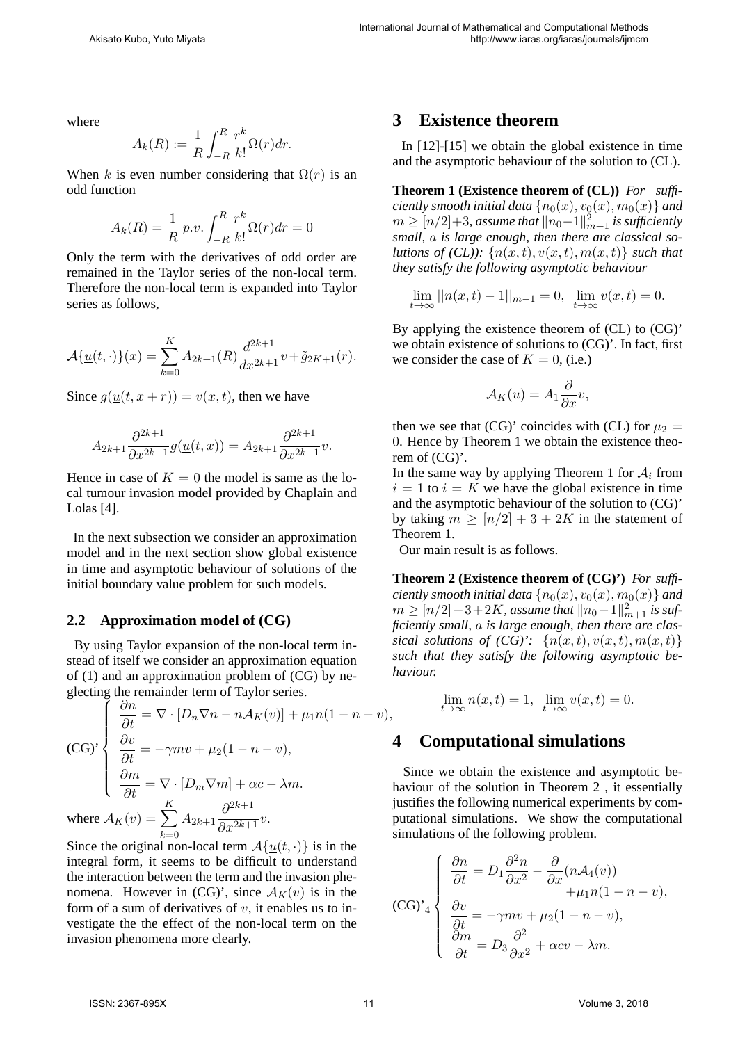where

$$
A_k(R) := \frac{1}{R} \int_{-R}^R \frac{r^k}{k!} \Omega(r) dr.
$$

When *k* is even number considering that  $\Omega(r)$  is an odd function

$$
A_k(R) = \frac{1}{R} p.v. \int_{-R}^{R} \frac{r^k}{k!} \Omega(r) dr = 0
$$

Only the term with the derivatives of odd order are remained in the Taylor series of the non-local term. Therefore the non-local term is expanded into Taylor series as follows,

$$
\mathcal{A}\{\underline{u}(t,\cdot)\}(x) = \sum_{k=0}^{K} A_{2k+1}(R) \frac{d^{2k+1}}{dx^{2k+1}} v + \tilde{g}_{2K+1}(r).
$$

Since  $q(u(t, x + r)) = v(x, t)$ , then we have

$$
A_{2k+1}\frac{\partial^{2k+1}}{\partial x^{2k+1}}g(\underline{u}(t,x)) = A_{2k+1}\frac{\partial^{2k+1}}{\partial x^{2k+1}}v.
$$

Hence in case of  $K = 0$  the model is same as the local tumour invasion model provided by Chaplain and Lolas [4].

In the next subsection we consider an approximation model and in the next section show global existence in time and asymptotic behaviour of solutions of the initial boundary value problem for such models.

#### **2.2 Approximation model of (CG)**

By using Taylor expansion of the non-local term instead of itself we consider an approximation equation of (1) and an approximation problem of (CG) by neglecting the remainder term of Taylor series.

(CG)  
\n
$$
\begin{cases}\n\frac{\partial n}{\partial t} = \nabla \cdot [D_n \nabla n - n \mathcal{A}_K(v)] + \mu_1 n (1 - n - v), \\
\frac{\partial v}{\partial t} = -\gamma m v + \mu_2 (1 - n - v), \\
\frac{\partial m}{\partial t} = \nabla \cdot [D_m \nabla m] + \alpha c - \lambda m.\n\end{cases}
$$
\nwhere  $\mathcal{A}_K(v) = \sum_{k=0}^K A_{2k+1} \frac{\partial^{2k+1}}{\partial x^{2k+1}} v$ .

Since the original non-local term  $A\{u(t, \cdot)\}\)$  is in the integral form, it seems to be difficult to understand the interaction between the term and the invasion phenomena. However in (CG)', since  $A_K(v)$  is in the form of a sum of derivatives of *v*, it enables us to investigate the the effect of the non-local term on the invasion phenomena more clearly.

## **3 Existence theorem**

In [12]-[15] we obtain the global existence in time and the asymptotic behaviour of the solution to (CL).

**Theorem 1 (Existence theorem of (CL))** *For sufficiently smooth initial data*  $\{n_0(x), v_0(x), m_0(x)\}$  *and*  $m \geq [n/2] + 3$ *, assume that*  $\|n_0-1\|_{m+1}^2$  *is sufficiently small, a is large enough, then there are classical solutions of (CL)):*  $\{n(x,t), v(x,t), m(x,t)\}\$  *such that they satisfy the following asymptotic behaviour*

$$
\lim_{t \to \infty} ||n(x, t) - 1||_{m-1} = 0, \ \lim_{t \to \infty} v(x, t) = 0.
$$

By applying the existence theorem of (CL) to (CG)' we obtain existence of solutions to (CG)'. In fact, first we consider the case of  $K = 0$ , (i.e.)

$$
\mathcal{A}_K(u) = A_1 \frac{\partial}{\partial x} v,
$$

then we see that (CG)' coincides with (CL) for  $\mu_2$  = 0. Hence by Theorem 1 we obtain the existence theorem of (CG)'.

In the same way by applying Theorem 1 for  $A_i$  from  $i = 1$  to  $i = K$  we have the global existence in time and the asymptotic behaviour of the solution to (CG)' by taking  $m \geq \lfloor n/2 \rfloor + 3 + 2K$  in the statement of Theorem 1.

Our main result is as follows.

**Theorem 2 (Existence theorem of (CG)')** *For sufficiently smooth initial data*  $\{n_0(x), v_0(x), m_0(x)\}$  *and m* ≥  $[n/2]+3+2K$ *, assume that*  $||n_0-1||^2_{m+1}$  *is sufficiently small, a is large enough, then there are clas*sical solutions of  $(CG)'$ :  $\{n(x,t), v(x,t), m(x,t)\}$ *such that they satisfy the following asymptotic behaviour.*

$$
\lim_{t \to \infty} n(x, t) = 1, \ \lim_{t \to \infty} v(x, t) = 0.
$$

### **4 Computational simulations**

Since we obtain the existence and asymptotic behaviour of the solution in Theorem 2 , it essentially justifies the following numerical experiments by computational simulations. We show the computational simulations of the following problem.

$$
(\text{CG})^{\prime}{}_{4}\begin{cases}\n\frac{\partial n}{\partial t} = D_{1} \frac{\partial^{2} n}{\partial x^{2}} - \frac{\partial}{\partial x} (n \mathcal{A}_{4}(v)) \\
+ \mu_{1} n (1 - n - v), \\
\frac{\partial v}{\partial t} = -\gamma m v + \mu_{2} (1 - n - v), \\
\frac{\partial m}{\partial t} = D_{3} \frac{\partial^{2}}{\partial x^{2}} + \alpha c v - \lambda m.\n\end{cases}
$$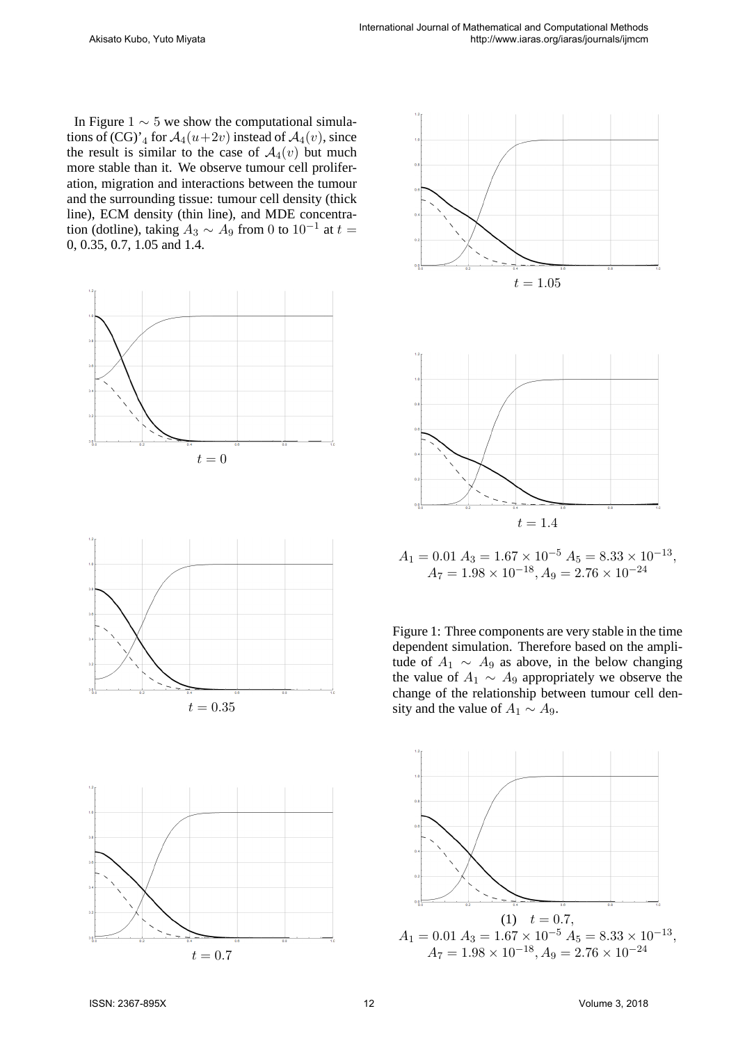In Figure 1 *∼* 5 we show the computational simulations of  $(CG)'_4$  for  $\mathcal{A}_4(u+2v)$  instead of  $\mathcal{A}_4(v)$ , since the result is similar to the case of  $A_4(v)$  but much more stable than it. We observe tumour cell proliferation, migration and interactions between the tumour and the surrounding tissue: tumour cell density (thick line), ECM density (thin line), and MDE concentration (dotline), taking  $A_3 \sim A_9$  from 0 to 10<sup>-1</sup> at  $t =$ 0, 0.35, 0.7, 1.05 and 1.4.









 $A_1 = 0.01 A_3 = 1.67 \times 10^{-5} A_5 = 8.33 \times 10^{-13}$  $A_7 = 1.98 \times 10^{-18}, A_9 = 2.76 \times 10^{-24}$ 

Figure 1: Three components are very stable in the time dependent simulation. Therefore based on the amplitude of  $A_1 \sim A_9$  as above, in the below changing the value of  $A_1 \sim A_9$  appropriately we observe the change of the relationship between tumour cell density and the value of  $A_1 \sim A_9$ .

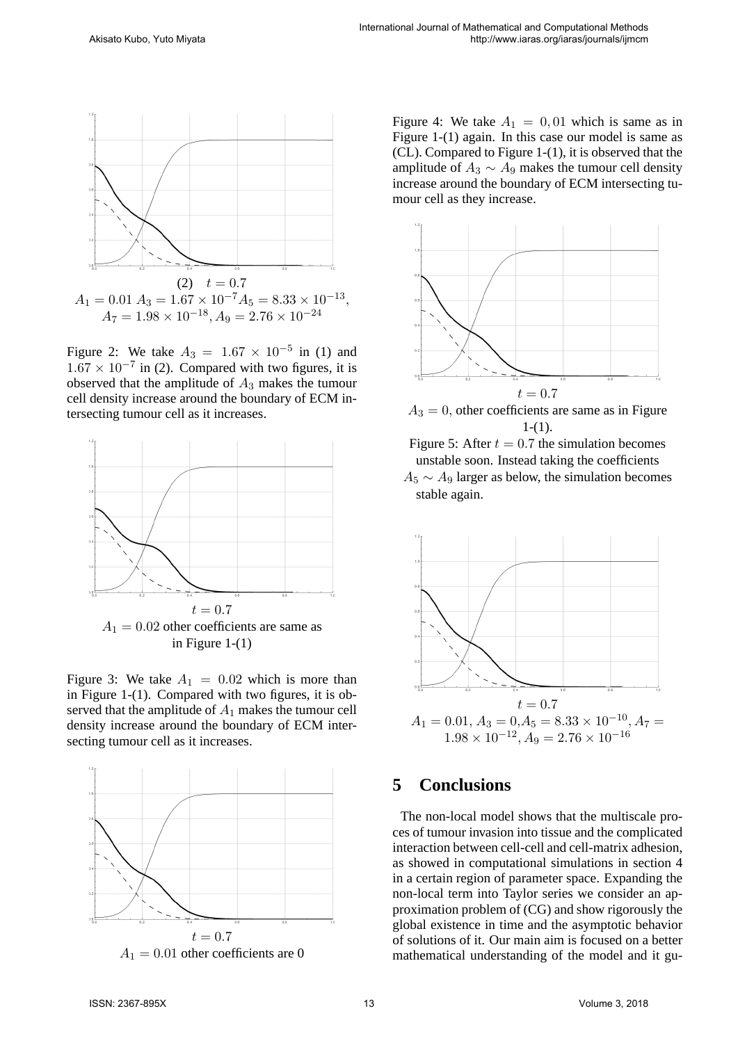

Figure 2: We take  $A_3 = 1.67 \times 10^{-5}$  in (1) and  $1.67 \times 10^{-7}$  in (2). Compared with two figures, it is observed that the amplitude of *A*<sup>3</sup> makes the tumour cell density increase around the boundary of ECM intersecting tumour cell as it increases.



Figure 3: We take  $A_1 = 0.02$  which is more than in Figure 1-(1). Compared with two figures, it is observed that the amplitude of *A*<sup>1</sup> makes the tumour cell density increase around the boundary of ECM intersecting tumour cell as it increases.



Figure 4: We take  $A_1 = 0, 01$  which is same as in Figure 1-(1) again. In this case our model is same as (CL). Compared to Figure 1-(1), it is observed that the amplitude of  $A_3 \sim A_9$  makes the tumour cell density increase around the boundary of ECM intersecting tumour cell as they increase.



 $A_3 = 0$ , other coefficients are same as in Figure  $1-(1)$ .

Figure 5: After  $t = 0.7$  the simulation becomes unstable soon. Instead taking the coefficients

*A*<sup>5</sup> *∼ A*<sup>9</sup> larger as below, the simulation becomes stable again.



# **5 Conclusions**

The non-local model shows that the multiscale proces of tumour invasion into tissue and the complicated interaction between cell-cell and cell-matrix adhesion, as showed in computational simulations in section 4 in a certain region of parameter space. Expanding the non-local term into Taylor series we consider an approximation problem of (CG) and show rigorously the global existence in time and the asymptotic behavior of solutions of it. Our main aim is focused on a better mathematical understanding of the model and it gu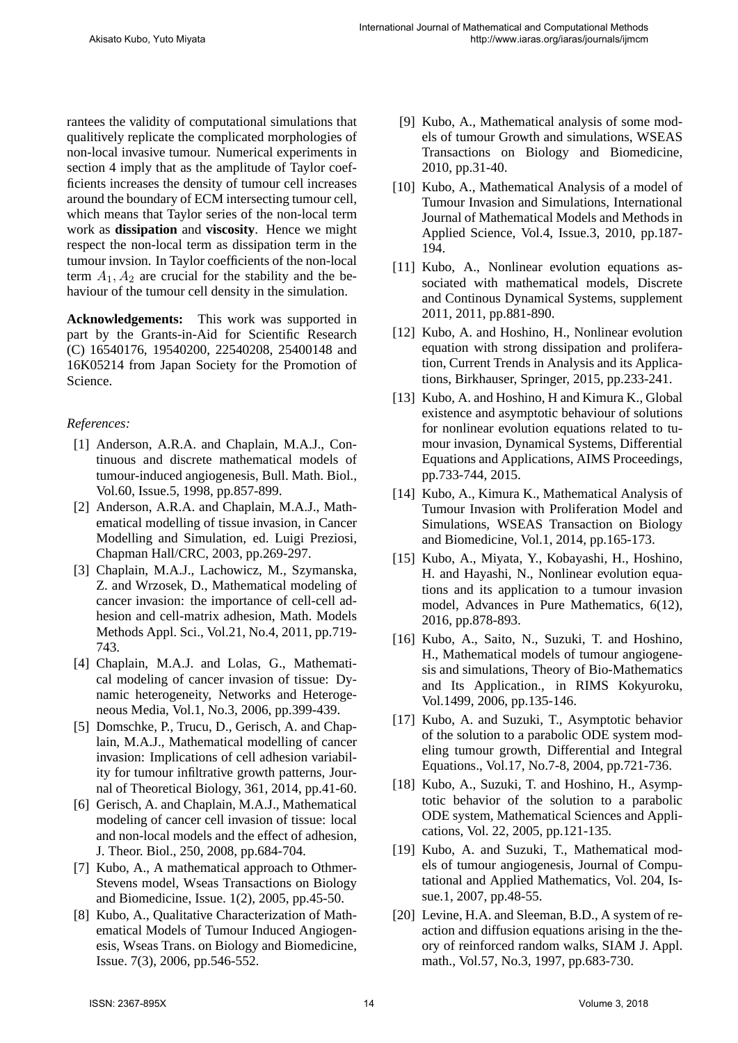rantees the validity of computational simulations that qualitively replicate the complicated morphologies of non-local invasive tumour. Numerical experiments in section 4 imply that as the amplitude of Taylor coefficients increases the density of tumour cell increases around the boundary of ECM intersecting tumour cell, which means that Taylor series of the non-local term work as **dissipation** and **viscosity**. Hence we might respect the non-local term as dissipation term in the tumour invsion. In Taylor coefficients of the non-local term  $A_1$ ,  $A_2$  are crucial for the stability and the behaviour of the tumour cell density in the simulation.

**Acknowledgements:** This work was supported in part by the Grants-in-Aid for Scientific Research (C) 16540176, 19540200, 22540208, 25400148 and 16K05214 from Japan Society for the Promotion of Science.

#### *References:*

- [1] Anderson, A.R.A. and Chaplain, M.A.J., Continuous and discrete mathematical models of tumour-induced angiogenesis, Bull. Math. Biol., Vol.60, Issue.5, 1998, pp.857-899.
- [2] Anderson, A.R.A. and Chaplain, M.A.J., Mathematical modelling of tissue invasion, in Cancer Modelling and Simulation, ed. Luigi Preziosi, Chapman Hall/CRC, 2003, pp.269-297.
- [3] Chaplain, M.A.J., Lachowicz, M., Szymanska, Z. and Wrzosek, D., Mathematical modeling of cancer invasion: the importance of cell-cell adhesion and cell-matrix adhesion, Math. Models Methods Appl. Sci., Vol.21, No.4, 2011, pp.719- 743.
- [4] Chaplain, M.A.J. and Lolas, G., Mathematical modeling of cancer invasion of tissue: Dynamic heterogeneity, Networks and Heterogeneous Media, Vol.1, No.3, 2006, pp.399-439.
- [5] Domschke, P., Trucu, D., Gerisch, A. and Chaplain, M.A.J., Mathematical modelling of cancer invasion: Implications of cell adhesion variability for tumour infiltrative growth patterns, Journal of Theoretical Biology, 361, 2014, pp.41-60.
- [6] Gerisch, A. and Chaplain, M.A.J., Mathematical modeling of cancer cell invasion of tissue: local and non-local models and the effect of adhesion, J. Theor. Biol., 250, 2008, pp.684-704.
- [7] Kubo, A., A mathematical approach to Othmer-Stevens model, Wseas Transactions on Biology and Biomedicine, Issue. 1(2), 2005, pp.45-50.
- [8] Kubo, A., Qualitative Characterization of Mathematical Models of Tumour Induced Angiogenesis, Wseas Trans. on Biology and Biomedicine, Issue. 7(3), 2006, pp.546-552.
- [9] Kubo, A., Mathematical analysis of some models of tumour Growth and simulations, WSEAS Transactions on Biology and Biomedicine, 2010, pp.31-40.
- [10] Kubo, A., Mathematical Analysis of a model of Tumour Invasion and Simulations, International Journal of Mathematical Models and Methods in Applied Science, Vol.4, Issue.3, 2010, pp.187- 194.
- [11] Kubo, A., Nonlinear evolution equations associated with mathematical models, Discrete and Continous Dynamical Systems, supplement 2011, 2011, pp.881-890.
- [12] Kubo, A. and Hoshino, H., Nonlinear evolution equation with strong dissipation and proliferation, Current Trends in Analysis and its Applications, Birkhauser, Springer, 2015, pp.233-241.
- [13] Kubo, A. and Hoshino, H and Kimura K., Global existence and asymptotic behaviour of solutions for nonlinear evolution equations related to tumour invasion, Dynamical Systems, Differential Equations and Applications, AIMS Proceedings, pp.733-744, 2015.
- [14] Kubo, A., Kimura K., Mathematical Analysis of Tumour Invasion with Proliferation Model and Simulations, WSEAS Transaction on Biology and Biomedicine, Vol.1, 2014, pp.165-173.
- [15] Kubo, A., Miyata, Y., Kobayashi, H., Hoshino, H. and Hayashi, N., Nonlinear evolution equations and its application to a tumour invasion model, Advances in Pure Mathematics, 6(12), 2016, pp.878-893.
- [16] Kubo, A., Saito, N., Suzuki, T. and Hoshino, H., Mathematical models of tumour angiogenesis and simulations, Theory of Bio-Mathematics and Its Application., in RIMS Kokyuroku, Vol.1499, 2006, pp.135-146.
- [17] Kubo, A. and Suzuki, T., Asymptotic behavior of the solution to a parabolic ODE system modeling tumour growth, Differential and Integral Equations., Vol.17, No.7-8, 2004, pp.721-736.
- [18] Kubo, A., Suzuki, T. and Hoshino, H., Asymptotic behavior of the solution to a parabolic ODE system, Mathematical Sciences and Applications, Vol. 22, 2005, pp.121-135.
- [19] Kubo, A. and Suzuki, T., Mathematical models of tumour angiogenesis, Journal of Computational and Applied Mathematics, Vol. 204, Issue.1, 2007, pp.48-55.
- [20] Levine, H.A. and Sleeman, B.D., A system of reaction and diffusion equations arising in the theory of reinforced random walks, SIAM J. Appl. math., Vol.57, No.3, 1997, pp.683-730.